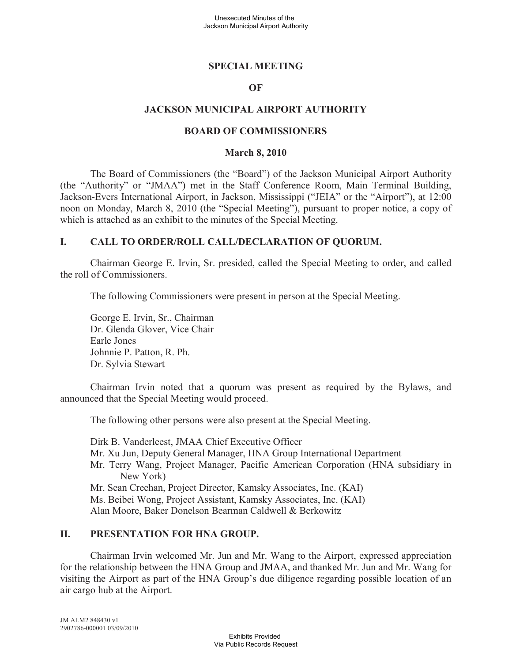## **SPECIAL MEETING**

### **OF**

## **JACKSON MUNICIPAL AIRPORT AUTHORITY**

### **BOARD OF COMMISSIONERS**

#### **March 8, 2010**

The Board of Commissioners (the "Board") of the Jackson Municipal Airport Authority (the "Authority" or "JMAA") met in the Staff Conference Room, Main Terminal Building, Jackson-Evers International Airport, in Jackson, Mississippi ("JEIA" or the "Airport"), at 12:00 noon on Monday, March 8, 2010 (the "Special Meeting"), pursuant to proper notice, a copy of which is attached as an exhibit to the minutes of the Special Meeting.

## **I. CALL TO ORDER/ROLL CALL/DECLARATION OF QUORUM.**

Chairman George E. Irvin, Sr. presided, called the Special Meeting to order, and called the roll of Commissioners.

The following Commissioners were present in person at the Special Meeting.

George E. Irvin, Sr., Chairman Dr. Glenda Glover, Vice Chair Earle Jones Johnnie P. Patton, R. Ph. Dr. Sylvia Stewart

Chairman Irvin noted that a quorum was present as required by the Bylaws, and announced that the Special Meeting would proceed.

The following other persons were also present at the Special Meeting.

Dirk B. Vanderleest, JMAA Chief Executive Officer Mr. Xu Jun, Deputy General Manager, HNA Group International Department Mr. Terry Wang, Project Manager, Pacific American Corporation (HNA subsidiary in New York) Mr. Sean Creehan, Project Director, Kamsky Associates, Inc. (KAI) Ms. Beibei Wong, Project Assistant, Kamsky Associates, Inc. (KAI) Alan Moore, Baker Donelson Bearman Caldwell & Berkowitz

## **II. PRESENTATION FOR HNA GROUP.**

Chairman Irvin welcomed Mr. Jun and Mr. Wang to the Airport, expressed appreciation for the relationship between the HNA Group and JMAA, and thanked Mr. Jun and Mr. Wang for visiting the Airport as part of the HNA Group's due diligence regarding possible location of an air cargo hub at the Airport.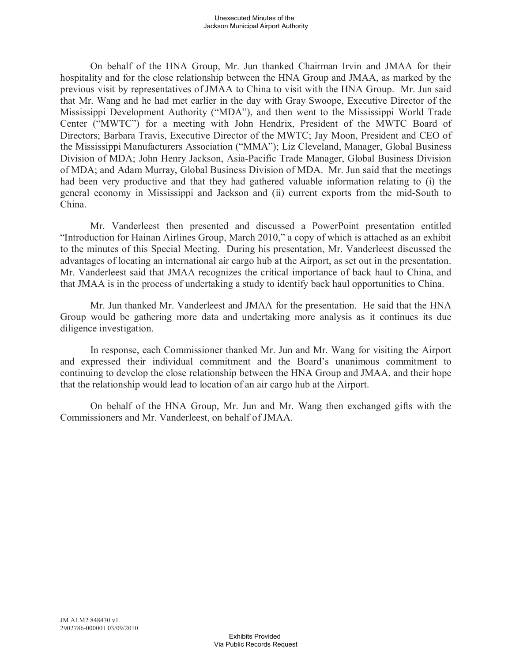On behalf of the HNA Group, Mr. Jun thanked Chairman Irvin and JMAA for their hospitality and for the close relationship between the HNA Group and JMAA, as marked by the previous visit by representatives of JMAA to China to visit with the HNA Group. Mr. Jun said that Mr. Wang and he had met earlier in the day with Gray Swoope, Executive Director of the Mississippi Development Authority ("MDA"), and then went to the Mississippi World Trade Center ("MWTC") for a meeting with John Hendrix, President of the MWTC Board of Directors; Barbara Travis, Executive Director of the MWTC; Jay Moon, President and CEO of the Mississippi Manufacturers Association ("MMA"); Liz Cleveland, Manager, Global Business Division of MDA; John Henry Jackson, Asia-Pacific Trade Manager, Global Business Division of MDA; and Adam Murray, Global Business Division of MDA. Mr. Jun said that the meetings had been very productive and that they had gathered valuable information relating to (i) the general economy in Mississippi and Jackson and (ii) current exports from the mid-South to China.

Mr. Vanderleest then presented and discussed a PowerPoint presentation entitled "Introduction for Hainan Airlines Group, March 2010," a copy of which is attached as an exhibit to the minutes of this Special Meeting. During his presentation, Mr. Vanderleest discussed the advantages of locating an international air cargo hub at the Airport, as set out in the presentation. Mr. Vanderleest said that JMAA recognizes the critical importance of back haul to China, and that JMAA is in the process of undertaking a study to identify back haul opportunities to China.

Mr. Jun thanked Mr. Vanderleest and JMAA for the presentation. He said that the HNA Group would be gathering more data and undertaking more analysis as it continues its due diligence investigation.

In response, each Commissioner thanked Mr. Jun and Mr. Wang for visiting the Airport and expressed their individual commitment and the Board's unanimous commitment to continuing to develop the close relationship between the HNA Group and JMAA, and their hope that the relationship would lead to location of an air cargo hub at the Airport.

On behalf of the HNA Group, Mr. Jun and Mr. Wang then exchanged gifts with the Commissioners and Mr. Vanderleest, on behalf of JMAA.